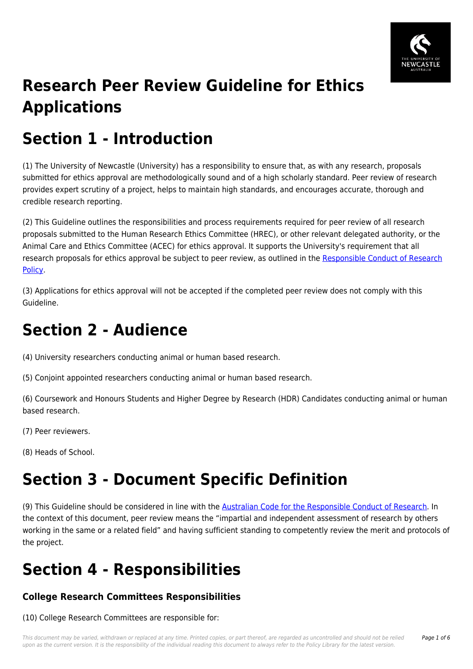

## **Research Peer Review Guideline for Ethics Applications**

## **Section 1 - Introduction**

(1) The University of Newcastle (University) has a responsibility to ensure that, as with any research, proposals submitted for ethics approval are methodologically sound and of a high scholarly standard. Peer review of research provides expert scrutiny of a project, helps to maintain high standards, and encourages accurate, thorough and credible research reporting.

(2) This Guideline outlines the responsibilities and process requirements required for peer review of all research proposals submitted to the Human Research Ethics Committee (HREC), or other relevant delegated authority, or the Animal Care and Ethics Committee (ACEC) for ethics approval. It supports the University's requirement that all research proposals for ethics approval be subject to peer review, as outlined in the [Responsible Conduct of Research](https://policies.newcastle.edu.au/document/view-current.php?id=66) [Policy.](https://policies.newcastle.edu.au/document/view-current.php?id=66)

(3) Applications for ethics approval will not be accepted if the completed peer review does not comply with this Guideline.

### **Section 2 - Audience**

(4) University researchers conducting animal or human based research.

(5) Conjoint appointed researchers conducting animal or human based research.

(6) Coursework and Honours Students and Higher Degree by Research (HDR) Candidates conducting animal or human based research.

(7) Peer reviewers.

(8) Heads of School.

## **Section 3 - Document Specific Definition**

(9) This Guideline should be considered in line with the [Australian Code for the Responsible Conduct of Research.](https://policies.newcastle.edu.au/directory-summary.php?code=3) In the context of this document, peer review means the "impartial and independent assessment of research by others working in the same or a related field" and having sufficient standing to competently review the merit and protocols of the project.

# **Section 4 - Responsibilities**

### **College Research Committees Responsibilities**

(10) College Research Committees are responsible for: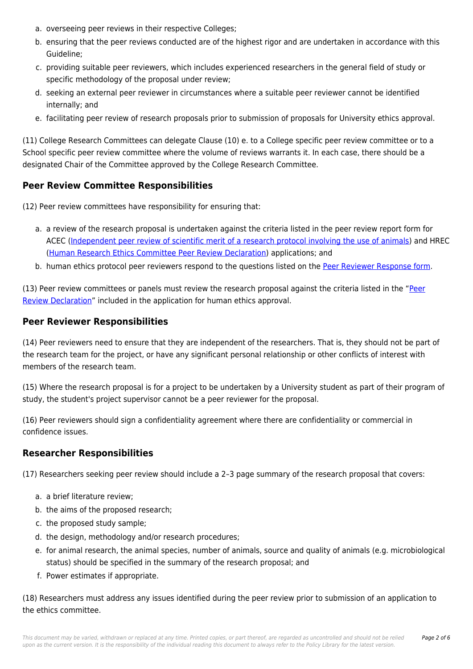- a. overseeing peer reviews in their respective Colleges;
- b. ensuring that the peer reviews conducted are of the highest rigor and are undertaken in accordance with this Guideline;
- c. providing suitable peer reviewers, which includes experienced researchers in the general field of study or specific methodology of the proposal under review;
- d. seeking an external peer reviewer in circumstances where a suitable peer reviewer cannot be identified internally; and
- e. facilitating peer review of research proposals prior to submission of proposals for University ethics approval.

(11) College Research Committees can delegate Clause (10) e. to a College specific peer review committee or to a School specific peer review committee where the volume of reviews warrants it. In each case, there should be a designated Chair of the Committee approved by the College Research Committee.

#### **Peer Review Committee Responsibilities**

(12) Peer review committees have responsibility for ensuring that:

- a. a review of the research proposal is undertaken against the criteria listed in the peer review report form for ACEC [\(Independent peer review of scientific merit of a research protocol involving the use of animals](https://policies.newcastle.edu.au/download.php?id=423&version=1&associated)) and HREC ([Human Research Ethics Committee Peer Review Declaration\)](https://policies.newcastle.edu.au/download.php?id=396&version=2&associated) applications; and
- b. human ethics protocol peer reviewers respond to the questions listed on the [Peer Reviewer Response form.](https://policies.newcastle.edu.au/download.php?id=398&version=1&associated)

(13) Peer review committees or panels must review the research proposal against the criteria listed in the ["Peer](https://policies.newcastle.edu.au/download.php?id=396&version=2&associated) [Review Declaration"](https://policies.newcastle.edu.au/download.php?id=396&version=2&associated) included in the application for human ethics approval.

#### **Peer Reviewer Responsibilities**

(14) Peer reviewers need to ensure that they are independent of the researchers. That is, they should not be part of the research team for the project, or have any significant personal relationship or other conflicts of interest with members of the research team.

(15) Where the research proposal is for a project to be undertaken by a University student as part of their program of study, the student's project supervisor cannot be a peer reviewer for the proposal.

(16) Peer reviewers should sign a confidentiality agreement where there are confidentiality or commercial in confidence issues.

#### **Researcher Responsibilities**

(17) Researchers seeking peer review should include a 2–3 page summary of the research proposal that covers:

- a. a brief literature review;
- b. the aims of the proposed research;
- c. the proposed study sample;
- d. the design, methodology and/or research procedures;
- e. for animal research, the animal species, number of animals, source and quality of animals (e.g. microbiological status) should be specified in the summary of the research proposal; and
- f. Power estimates if appropriate.

(18) Researchers must address any issues identified during the peer review prior to submission of an application to the ethics committee.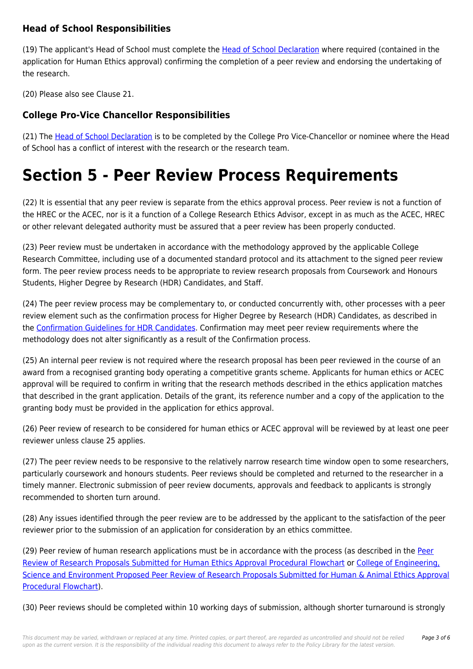### **Head of School Responsibilities**

(19) The applicant's Head of School must complete the [Head of School Declaration](https://policies.newcastle.edu.au/download.php?id=395&version=1&associated) where required (contained in the application for Human Ethics approval) confirming the completion of a peer review and endorsing the undertaking of the research.

(20) Please also see Clause 21.

### **College Pro-Vice Chancellor Responsibilities**

(21) The [Head of School Declaration](https://policies.newcastle.edu.au/download.php?id=395&version=1&associated) is to be completed by the College Pro Vice-Chancellor or nominee where the Head of School has a conflict of interest with the research or the research team.

### **Section 5 - Peer Review Process Requirements**

(22) It is essential that any peer review is separate from the ethics approval process. Peer review is not a function of the HREC or the ACEC, nor is it a function of a College Research Ethics Advisor, except in as much as the ACEC, HREC or other relevant delegated authority must be assured that a peer review has been properly conducted.

(23) Peer review must be undertaken in accordance with the methodology approved by the applicable College Research Committee, including use of a documented standard protocol and its attachment to the signed peer review form. The peer review process needs to be appropriate to review research proposals from Coursework and Honours Students, Higher Degree by Research (HDR) Candidates, and Staff.

(24) The peer review process may be complementary to, or conducted concurrently with, other processes with a peer review element such as the confirmation process for Higher Degree by Research (HDR) Candidates, as described in the [Confirmation Guidelines for HDR Candidates](https://policies.newcastle.edu.au/download.php?id=424&version=1&associated). Confirmation may meet peer review requirements where the methodology does not alter significantly as a result of the Confirmation process.

(25) An internal peer review is not required where the research proposal has been peer reviewed in the course of an award from a recognised granting body operating a competitive grants scheme. Applicants for human ethics or ACEC approval will be required to confirm in writing that the research methods described in the ethics application matches that described in the grant application. Details of the grant, its reference number and a copy of the application to the granting body must be provided in the application for ethics approval.

(26) Peer review of research to be considered for human ethics or ACEC approval will be reviewed by at least one peer reviewer unless clause 25 applies.

(27) The peer review needs to be responsive to the relatively narrow research time window open to some researchers, particularly coursework and honours students. Peer reviews should be completed and returned to the researcher in a timely manner. Electronic submission of peer review documents, approvals and feedback to applicants is strongly recommended to shorten turn around.

(28) Any issues identified through the peer review are to be addressed by the applicant to the satisfaction of the peer reviewer prior to the submission of an application for consideration by an ethics committee.

(29) [Peer](https://policies.newcastle.edu.au/download.php?id=400&version=3&associated) review of human research applications must be in accordance with the process (as described in the Peer [Review of Research Proposals Submitted for Human Ethics Approval Procedural Flowchart](https://policies.newcastle.edu.au/download.php?id=400&version=3&associated) or [College of Engineering,](https://policies.newcastle.edu.au/download.php?id=397&version=3&associated) [Science and Environment Proposed Peer Review of Research Proposals Submitted for Human & Animal Ethics Approval](https://policies.newcastle.edu.au/download.php?id=397&version=3&associated) [Procedural Flowchart](https://policies.newcastle.edu.au/download.php?id=397&version=3&associated)).

(30) Peer reviews should be completed within 10 working days of submission, although shorter turnaround is strongly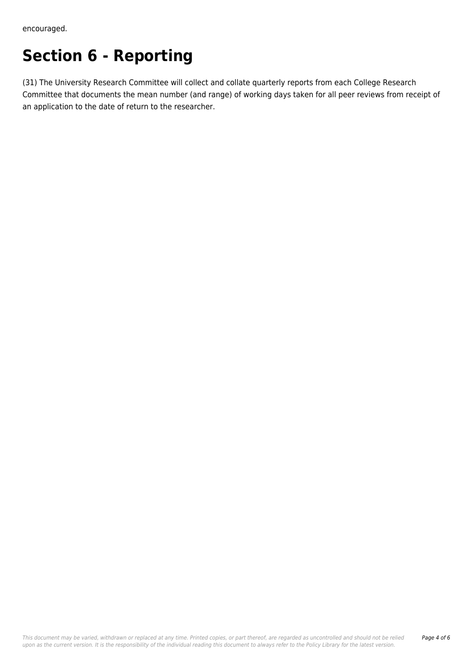encouraged.

## **Section 6 - Reporting**

(31) The University Research Committee will collect and collate quarterly reports from each College Research Committee that documents the mean number (and range) of working days taken for all peer reviews from receipt of an application to the date of return to the researcher.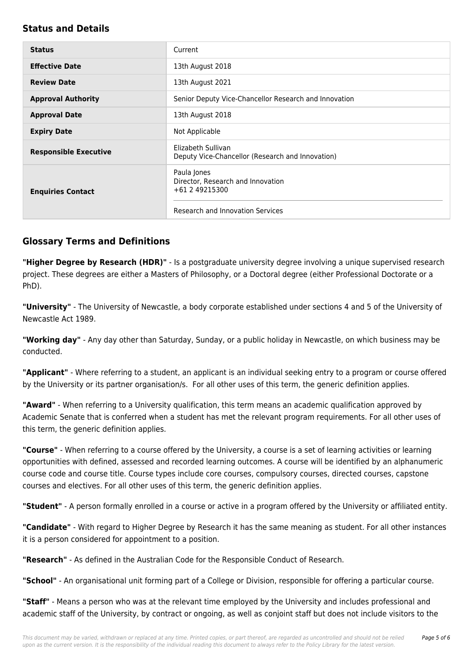#### **Status and Details**

| <b>Status</b>                | Current                                                                                                |
|------------------------------|--------------------------------------------------------------------------------------------------------|
| <b>Effective Date</b>        | 13th August 2018                                                                                       |
| <b>Review Date</b>           | 13th August 2021                                                                                       |
| <b>Approval Authority</b>    | Senior Deputy Vice-Chancellor Research and Innovation                                                  |
| <b>Approval Date</b>         | 13th August 2018                                                                                       |
| <b>Expiry Date</b>           | Not Applicable                                                                                         |
| <b>Responsible Executive</b> | Elizabeth Sullivan<br>Deputy Vice-Chancellor (Research and Innovation)                                 |
| <b>Enquiries Contact</b>     | Paula Jones<br>Director, Research and Innovation<br>+61 2 49215300<br>Research and Innovation Services |

### **Glossary Terms and Definitions**

**"Higher Degree by Research (HDR)"** - Is a postgraduate university degree involving a unique supervised research project. These degrees are either a Masters of Philosophy, or a Doctoral degree (either Professional Doctorate or a PhD).

**"University"** - The University of Newcastle, a body corporate established under sections 4 and 5 of the University of Newcastle Act 1989.

**"Working day"** - Any day other than Saturday, Sunday, or a public holiday in Newcastle, on which business may be conducted.

**"Applicant"** - Where referring to a student, an applicant is an individual seeking entry to a program or course offered by the University or its partner organisation/s. For all other uses of this term, the generic definition applies.

**"Award"** - When referring to a University qualification, this term means an academic qualification approved by Academic Senate that is conferred when a student has met the relevant program requirements. For all other uses of this term, the generic definition applies.

**"Course"** - When referring to a course offered by the University, a course is a set of learning activities or learning opportunities with defined, assessed and recorded learning outcomes. A course will be identified by an alphanumeric course code and course title. Course types include core courses, compulsory courses, directed courses, capstone courses and electives. For all other uses of this term, the generic definition applies.

**"Student"** - A person formally enrolled in a course or active in a program offered by the University or affiliated entity.

**"Candidate"** - With regard to Higher Degree by Research it has the same meaning as student. For all other instances it is a person considered for appointment to a position.

**"Research"** - As defined in the Australian Code for the Responsible Conduct of Research.

**"School"** - An organisational unit forming part of a College or Division, responsible for offering a particular course.

**"Staff"** - Means a person who was at the relevant time employed by the University and includes professional and academic staff of the University, by contract or ongoing, as well as conjoint staff but does not include visitors to the